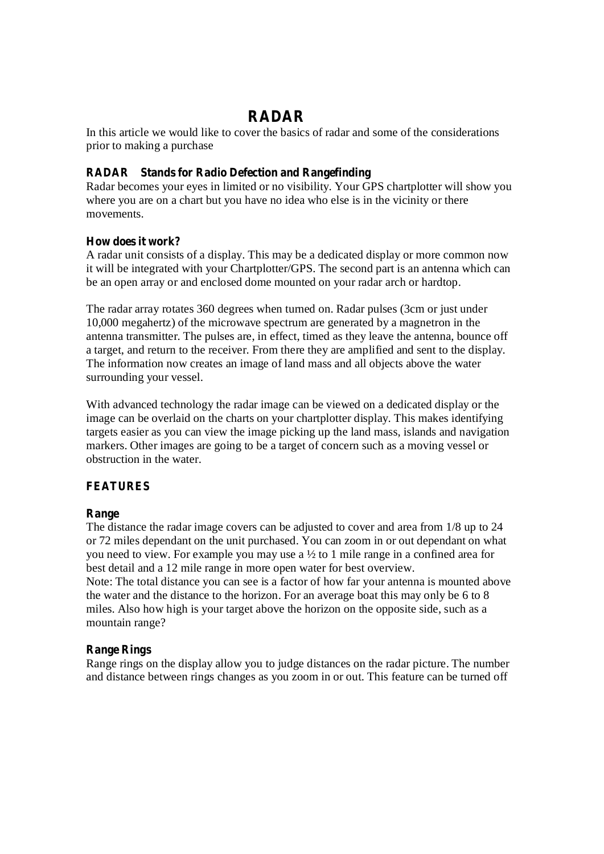# **RADAR**

In this article we would like to cover the basics of radar and some of the considerations prior to making a purchase

## **RADAR Stands for Radio Defection and Rangefinding**

Radar becomes your eyes in limited or no visibility. Your GPS chartplotter will show you where you are on a chart but you have no idea who else is in the vicinity or there movements.

## **How does it work?**

A radar unit consists of a display. This may be a dedicated display or more common now it will be integrated with your Chartplotter/GPS. The second part is an antenna which can be an open array or and enclosed dome mounted on your radar arch or hardtop.

The radar array rotates 360 degrees when turned on. Radar pulses (3cm or just under 10,000 megahertz) of the microwave spectrum are generated by a magnetron in the antenna transmitter. The pulses are, in effect, timed as they leave the antenna, bounce off a target, and return to the receiver. From there they are amplified and sent to the display. The information now creates an image of land mass and all objects above the water surrounding your vessel.

With advanced technology the radar image can be viewed on a dedicated display or the image can be overlaid on the charts on your chartplotter display. This makes identifying targets easier as you can view the image picking up the land mass, islands and navigation markers. Other images are going to be a target of concern such as a moving vessel or obstruction in the water.

## **FEATURES**

## **Range**

The distance the radar image covers can be adjusted to cover and area from 1/8 up to 24 or 72 miles dependant on the unit purchased. You can zoom in or out dependant on what you need to view. For example you may use a ½ to 1 mile range in a confined area for best detail and a 12 mile range in more open water for best overview. Note: The total distance you can see is a factor of how far your antenna is mounted above the water and the distance to the horizon. For an average boat this may only be 6 to 8 miles. Also how high is your target above the horizon on the opposite side, such as a

# **Range Rings**

mountain range?

Range rings on the display allow you to judge distances on the radar picture. The number and distance between rings changes as you zoom in or out. This feature can be turned off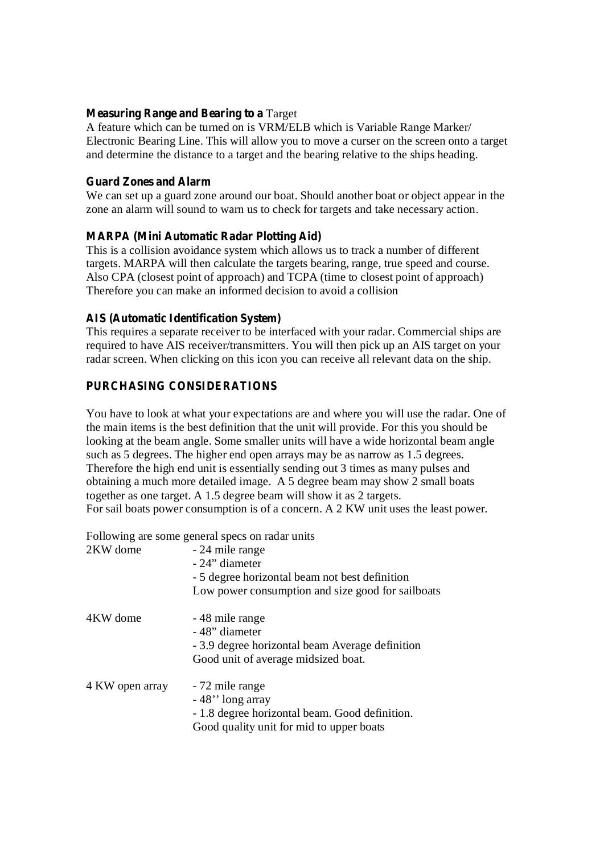#### **Measuring Range and Bearing to a** Target

A feature which can be turned on is VRM/ELB which is Variable Range Marker/ Electronic Bearing Line. This will allow you to move a curser on the screen onto a target and determine the distance to a target and the bearing relative to the ships heading.

#### **Guard Zones and Alarm**

We can set up a guard zone around our boat. Should another boat or object appear in the zone an alarm will sound to warn us to check for targets and take necessary action.

## **MARPA (Mini Automatic Radar Plotting Aid)**

This is a collision avoidance system which allows us to track a number of different targets. MARPA will then calculate the targets bearing, range, true speed and course. Also CPA (closest point of approach) and TCPA (time to closest point of approach) Therefore you can make an informed decision to avoid a collision

## **AIS (Automatic Identification System)**

This requires a separate receiver to be interfaced with your radar. Commercial ships are required to have AIS receiver/transmitters. You will then pick up an AIS target on your radar screen. When clicking on this icon you can receive all relevant data on the ship.

# **PURCHASING CONSIDERATIONS**

You have to look at what your expectations are and where you will use the radar. One of the main items is the best definition that the unit will provide. For this you should be looking at the beam angle. Some smaller units will have a wide horizontal beam angle such as 5 degrees. The higher end open arrays may be as narrow as 1.5 degrees. Therefore the high end unit is essentially sending out 3 times as many pulses and obtaining a much more detailed image. A 5 degree beam may show 2 small boats together as one target. A 1.5 degree beam will show it as 2 targets. For sail boats power consumption is of a concern. A 2 KW unit uses the least power.

Following are some general specs on radar units

| 2KW dome        | - 24 mile range<br>- 24" diameter<br>- 5 degree horizontal beam not best definition<br>Low power consumption and size good for sailboats |
|-----------------|------------------------------------------------------------------------------------------------------------------------------------------|
| 4KW dome        | -48 mile range<br>-48" diameter<br>- 3.9 degree horizontal beam Average definition<br>Good unit of average midsized boat.                |
| 4 KW open array | - 72 mile range<br>-48" long array<br>- 1.8 degree horizontal beam. Good definition.<br>Good quality unit for mid to upper boats         |